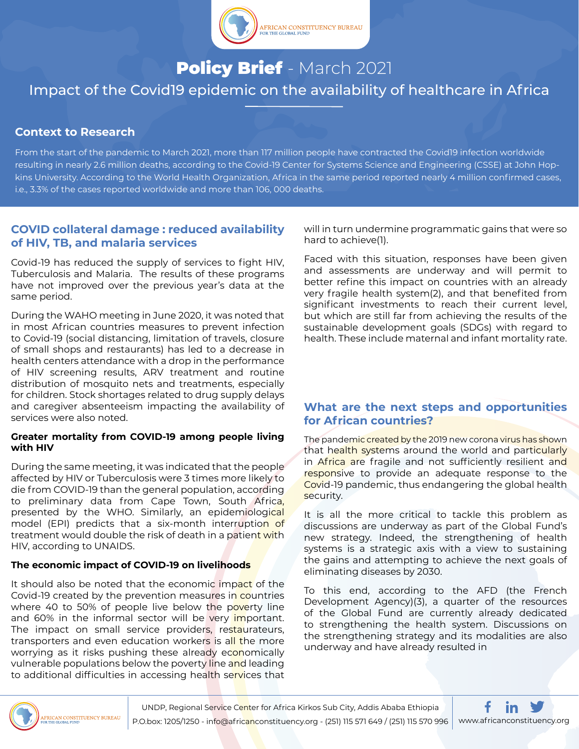

# Policy Brief - March 2021 Impact of the Covid19 epidemic on the availability of healthcare in Africa

## **Context to Research**

From the start of the pandemic to March 2021, more than 117 million people have contracted the Covid19 infection worldwide resulting in nearly 2.6 million deaths, according to the Covid-19 Center for Systems Science and Engineering (CSSE) at John Hopkins University. According to the World Health Organization, Africa in the same period reported nearly 4 million confirmed cases, i.e., 3.3% of the cases reported worldwide and more than 106, 000 deaths.

## **COVID collateral damage : reduced availability of HIV, TB, and malaria services**

Covid-19 has reduced the supply of services to fight HIV, Tuberculosis and Malaria. The results of these programs have not improved over the previous year's data at the same period.

During the WAHO meeting in June 2020, it was noted that in most African countries measures to prevent infection to Covid-19 (social distancing, limitation of travels, closure of small shops and restaurants) has led to a decrease in health centers attendance with a drop in the performance of HIV screening results, ARV treatment and routine distribution of mosquito nets and treatments, especially for children. Stock shortages related to drug supply delays and caregiver absenteeism impacting the availability of services were also noted.

## **Greater mortality from COVID-19 among people living with HIV**

During the same meeting, it was indicated that the people affected by HIV or Tuberculosis were 3 times more likely to die from COVID-19 than the general population, according to preliminary data from Cape Town, South Africa, presented by the WHO. Similarly, an epidemiological model (EPI) predicts that a six-month interruption of treatment would double the risk of death in a patient with HIV, according to UNAIDS.

## **The economic impact of COVID-19 on livelihoods**

It should also be noted that the economic impact of the Covid-19 created by the prevention measures in countries where 40 to 50% of people live below the poverty line and 60% in the informal sector will be very *important*. The impact on small service providers, restaurateurs, transporters and even education workers is all the more worrying as it risks pushing these already economically vulnerable populations below the poverty line and leading to additional difficulties in accessing health services that will in turn undermine programmatic gains that were so hard to achieve(1).

Faced with this situation, responses have been given and assessments are underway and will permit to better refine this impact on countries with an already very fragile health system(2), and that benefited from significant investments to reach their current level, but which are still far from achieving the results of the sustainable development goals (SDGs) with regard to health. These include maternal and infant mortality rate.

## **What are the next steps and opportunities for African countries?**

The pandemic created by the 2019 new corona virus has shown that health systems around the world and particularly in Africa are fragile and not sufficiently resilient and responsive to provide an adequate response to the Covid-19 pandemic, thus endangering the global health security.

It is all the more critical to tackle this problem as discussions are underway as part of the Global Fund's new strategy. Indeed, the strengthening of health systems is a strategic axis with a view to sustaining the gains and attempting to achieve the next goals of eliminating diseases by 2030.

To this end, according to the AFD (the French Development Agency)(3), a quarter of the resources of the Global Fund are currently already dedicated to strengthening the health system. Discussions on the strengthening strategy and its modalities are also underway and have already resulted in



UNDP, Regional Service Center for Africa Kirkos Sub City, Addis Ababa Ethiopia P.O.box: 1205/1250 - info@africanconstituency.org - (251) 115 571 649 / (251) 115 570 996 www.africanconstituency.org